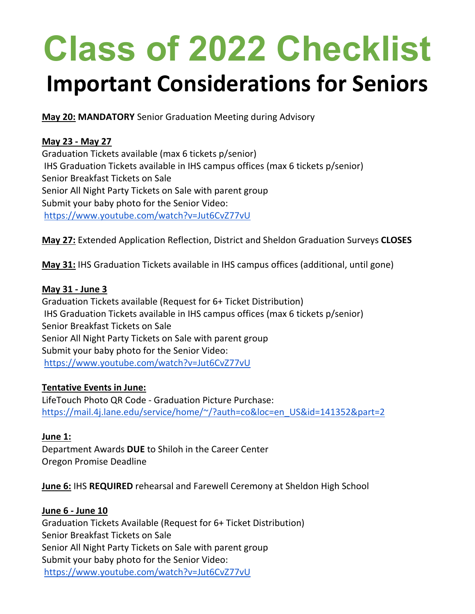# **Class of 2022 Checklist**

# **Important Considerations for Seniors**

**May 20: MANDATORY** Senior Graduation Meeting during Advisory

## **May 23 - May 27**

Graduation Tickets available (max 6 tickets p/senior) IHS Graduation Tickets available in IHS campus offices (max 6 tickets p/senior) Senior Breakfast Tickets on Sale Senior All Night Party Tickets on Sale with parent group Submit your baby photo for the Senior Video: <https://www.youtube.com/watch?v=Jut6CvZ77vU>

**May 27:** Extended Application Reflection, District and Sheldon Graduation Surveys **CLOSES**

**May 31:** IHS Graduation Tickets available in IHS campus offices (additional, until gone)

#### **May 31 - June 3**

Graduation Tickets available (Request for 6+ Ticket Distribution) IHS Graduation Tickets available in IHS campus offices (max 6 tickets p/senior) Senior Breakfast Tickets on Sale Senior All Night Party Tickets on Sale with parent group Submit your baby photo for the Senior Video: <https://www.youtube.com/watch?v=Jut6CvZ77vU>

## **Tentative Events in June:**

LifeTouch Photo QR Code - Graduation Picture Purchase: [https://mail.4j.lane.edu/service/home/~/?auth=co&loc=en\\_US&id=141352&part=2](https://mail.4j.lane.edu/service/home/%7E/?auth=co&loc=en_US&id=141352&part=2)

## **June 1:**

Department Awards **DUE** to Shiloh in the Career Center Oregon Promise Deadline

**June 6:** IHS **REQUIRED** rehearsal and Farewell Ceremony at Sheldon High School

## **June 6 - June 10**

Graduation Tickets Available (Request for 6+ Ticket Distribution) Senior Breakfast Tickets on Sale Senior All Night Party Tickets on Sale with parent group Submit your baby photo for the Senior Video: <https://www.youtube.com/watch?v=Jut6CvZ77vU>